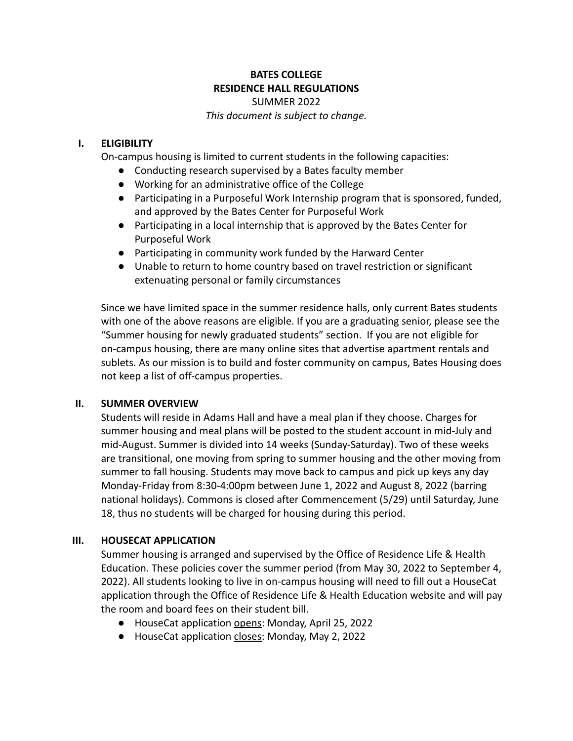## **BATES COLLEGE RESIDENCE HALL REGULATIONS** SUMMER 2022

*This document is subject to change.*

## **I. ELIGIBILITY**

On-campus housing is limited to current students in the following capacities:

- Conducting research supervised by a Bates faculty member
- Working for an administrative office of the College
- Participating in a Purposeful Work Internship program that is sponsored, funded, and approved by the Bates Center for Purposeful Work
- Participating in a local internship that is approved by the Bates Center for Purposeful Work
- Participating in community work funded by the Harward Center
- Unable to return to home country based on travel restriction or significant extenuating personal or family circumstances

Since we have limited space in the summer residence halls, only current Bates students with one of the above reasons are eligible. If you are a graduating senior, please see the "Summer housing for newly graduated students" section. If you are not eligible for on-campus housing, there are many online sites that advertise apartment rentals and sublets. As our mission is to build and foster community on campus, Bates Housing does not keep a list of off-campus properties.

## **II. SUMMER OVERVIEW**

Students will reside in Adams Hall and have a meal plan if they choose. Charges for summer housing and meal plans will be posted to the student account in mid-July and mid-August. Summer is divided into 14 weeks (Sunday-Saturday). Two of these weeks are transitional, one moving from spring to summer housing and the other moving from summer to fall housing. Students may move back to campus and pick up keys any day Monday-Friday from 8:30-4:00pm between June 1, 2022 and August 8, 2022 (barring national holidays). Commons is closed after Commencement (5/29) until Saturday, June 18, thus no students will be charged for housing during this period.

# **III. HOUSECAT APPLICATION**

Summer housing is arranged and supervised by the Office of Residence Life & Health Education. These policies cover the summer period (from May 30, 2022 to September 4, 2022). All students looking to live in on-campus housing will need to fill out a HouseCat application through the Office of Residence Life & Health Education website and will pay the room and board fees on their student bill.

- HouseCat application opens: Monday, April 25, 2022
- HouseCat application closes: Monday, May 2, 2022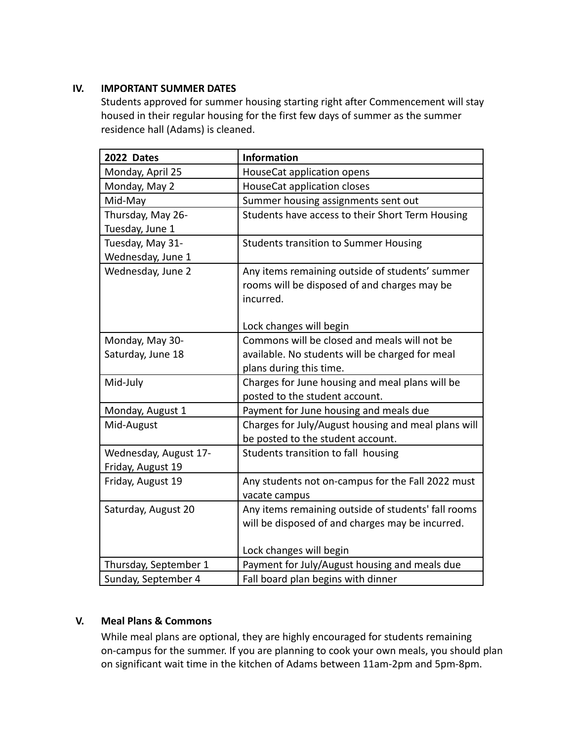# **IV. IMPORTANT SUMMER DATES**

Students approved for summer housing starting right after Commencement will stay housed in their regular housing for the first few days of summer as the summer residence hall (Adams) is cleaned.

| 2022 Dates            | <b>Information</b>                                  |
|-----------------------|-----------------------------------------------------|
| Monday, April 25      | HouseCat application opens                          |
| Monday, May 2         | HouseCat application closes                         |
| Mid-May               | Summer housing assignments sent out                 |
| Thursday, May 26-     | Students have access to their Short Term Housing    |
| Tuesday, June 1       |                                                     |
| Tuesday, May 31-      | <b>Students transition to Summer Housing</b>        |
| Wednesday, June 1     |                                                     |
| Wednesday, June 2     | Any items remaining outside of students' summer     |
|                       | rooms will be disposed of and charges may be        |
|                       | incurred.                                           |
|                       |                                                     |
|                       | Lock changes will begin                             |
| Monday, May 30-       | Commons will be closed and meals will not be        |
| Saturday, June 18     | available. No students will be charged for meal     |
|                       | plans during this time.                             |
| Mid-July              | Charges for June housing and meal plans will be     |
|                       | posted to the student account.                      |
| Monday, August 1      | Payment for June housing and meals due              |
| Mid-August            | Charges for July/August housing and meal plans will |
|                       | be posted to the student account.                   |
| Wednesday, August 17- | Students transition to fall housing                 |
| Friday, August 19     |                                                     |
| Friday, August 19     | Any students not on-campus for the Fall 2022 must   |
|                       | vacate campus                                       |
| Saturday, August 20   | Any items remaining outside of students' fall rooms |
|                       | will be disposed of and charges may be incurred.    |
|                       |                                                     |
|                       | Lock changes will begin                             |
| Thursday, September 1 | Payment for July/August housing and meals due       |
| Sunday, September 4   | Fall board plan begins with dinner                  |

# **V. Meal Plans & Commons**

While meal plans are optional, they are highly encouraged for students remaining on-campus for the summer. If you are planning to cook your own meals, you should plan on significant wait time in the kitchen of Adams between 11am-2pm and 5pm-8pm.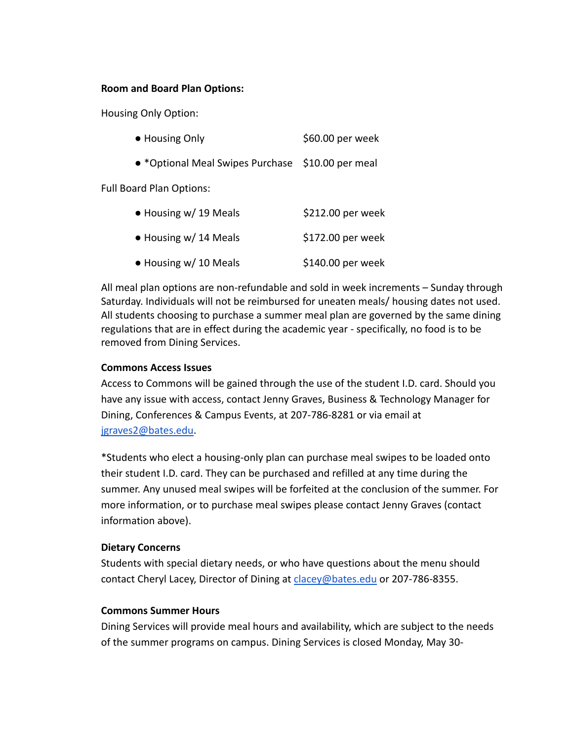#### **Room and Board Plan Options:**

Housing Only Option:

| • Housing Only | \$60.00 per week |
|----------------|------------------|
|                |                  |

● \*Optional Meal Swipes Purchase \$10.00 per meal

Full Board Plan Options:

| • Housing w/ 19 Meals         | \$212.00 per week  |
|-------------------------------|--------------------|
| $\bullet$ Housing w/ 14 Meals | $$172.00$ per week |
| • Housing w/ 10 Meals         | $$140.00$ per week |

All meal plan options are non-refundable and sold in week increments – Sunday through Saturday. Individuals will not be reimbursed for uneaten meals/ housing dates not used. All students choosing to purchase a summer meal plan are governed by the same dining regulations that are in effect during the academic year - specifically, no food is to be removed from Dining Services.

### **Commons Access Issues**

Access to Commons will be gained through the use of the student I.D. card. Should you have any issue with access, contact Jenny Graves, Business & Technology Manager for Dining, Conferences & Campus Events, at 207-786-8281 or via email at [jgraves2@bates.edu.](mailto:jgraves2@bates.edu)

\*Students who elect a housing-only plan can purchase meal swipes to be loaded onto their student I.D. card. They can be purchased and refilled at any time during the summer. Any unused meal swipes will be forfeited at the conclusion of the summer. For more information, or to purchase meal swipes please contact Jenny Graves (contact information above).

#### **Dietary Concerns**

Students with special dietary needs, or who have questions about the menu should contact Cheryl Lacey, Director of Dining at [clacey@bates.edu](mailto:clacey@bates.edu) or 207-786-8355.

## **Commons Summer Hours**

Dining Services will provide meal hours and availability, which are subject to the needs of the summer programs on campus. Dining Services is closed Monday, May 30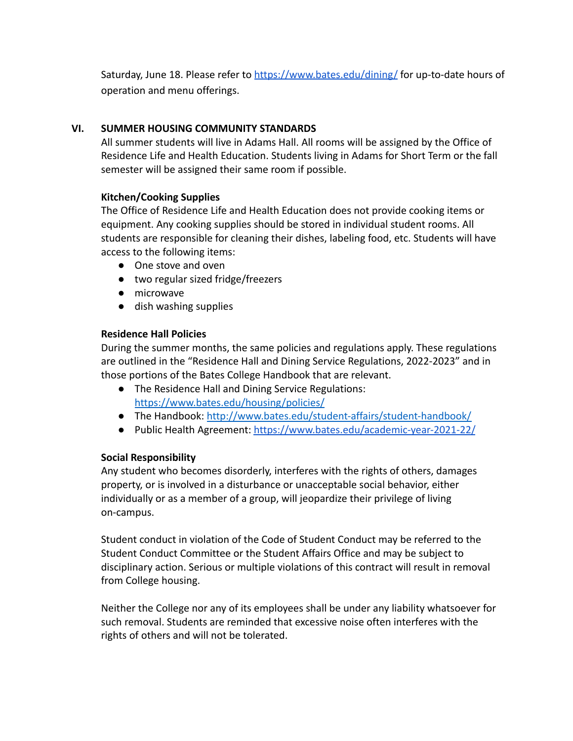Saturday, June 18. Please refer to <https://www.bates.edu/dining/> for up-to-date hours of operation and menu offerings.

## **VI. SUMMER HOUSING COMMUNITY STANDARDS**

All summer students will live in Adams Hall. All rooms will be assigned by the Office of Residence Life and Health Education. Students living in Adams for Short Term or the fall semester will be assigned their same room if possible.

## **Kitchen/Cooking Supplies**

The Office of Residence Life and Health Education does not provide cooking items or equipment. Any cooking supplies should be stored in individual student rooms. All students are responsible for cleaning their dishes, labeling food, etc. Students will have access to the following items:

- One stove and oven
- two regular sized fridge/freezers
- microwave
- dish washing supplies

## **Residence Hall Policies**

During the summer months, the same policies and regulations apply. These regulations are outlined in the "Residence Hall and Dining Service Regulations, 2022-2023" and in those portions of the Bates College Handbook that are relevant.

- The Residence Hall and Dining Service Regulations: <https://www.bates.edu/housing/policies/>
- The Handbook: <http://www.bates.edu/student-affairs/student-handbook/>
- Public Health Agreement: <https://www.bates.edu/academic-year-2021-22/>

# **Social Responsibility**

Any student who becomes disorderly, interferes with the rights of others, damages property, or is involved in a disturbance or unacceptable social behavior, either individually or as a member of a group, will jeopardize their privilege of living on-campus.

Student conduct in violation of the Code of Student Conduct may be referred to the Student Conduct Committee or the Student Affairs Office and may be subject to disciplinary action. Serious or multiple violations of this contract will result in removal from College housing.

Neither the College nor any of its employees shall be under any liability whatsoever for such removal. Students are reminded that excessive noise often interferes with the rights of others and will not be tolerated.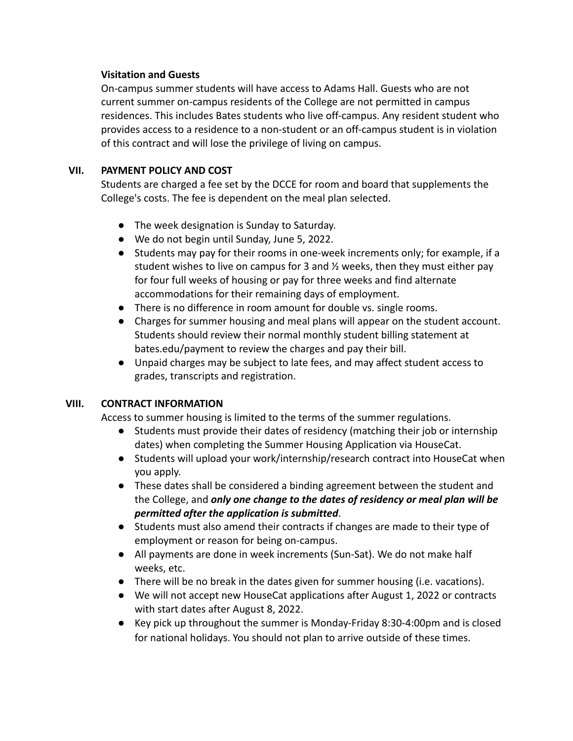## **Visitation and Guests**

On-campus summer students will have access to Adams Hall. Guests who are not current summer on-campus residents of the College are not permitted in campus residences. This includes Bates students who live off-campus. Any resident student who provides access to a residence to a non-student or an off-campus student is in violation of this contract and will lose the privilege of living on campus.

# **VII. PAYMENT POLICY AND COST**

Students are charged a fee set by the DCCE for room and board that supplements the College's costs. The fee is dependent on the meal plan selected.

- The week designation is Sunday to Saturday.
- We do not begin until Sunday, June 5, 2022.
- Students may pay for their rooms in one-week increments only; for example, if a student wishes to live on campus for 3 and  $\frac{1}{2}$  weeks, then they must either pay for four full weeks of housing or pay for three weeks and find alternate accommodations for their remaining days of employment.
- There is no difference in room amount for double vs. single rooms.
- Charges for summer housing and meal plans will appear on the student account. Students should review their normal monthly student billing statement at bates.edu/payment to review the charges and pay their bill.
- Unpaid charges may be subject to late fees, and may affect student access to grades, transcripts and registration.

# **VIII. CONTRACT INFORMATION**

Access to summer housing is limited to the terms of the summer regulations.

- Students must provide their dates of residency (matching their job or internship dates) when completing the Summer Housing Application via HouseCat.
- Students will upload your work/internship/research contract into HouseCat when you apply.
- These dates shall be considered a binding agreement between the student and the College, and *only one change to the dates of residency or meal plan will be permitted after the application is submitted*.
- Students must also amend their contracts if changes are made to their type of employment or reason for being on-campus.
- All payments are done in week increments (Sun-Sat). We do not make half weeks, etc.
- There will be no break in the dates given for summer housing (i.e. vacations).
- We will not accept new HouseCat applications after August 1, 2022 or contracts with start dates after August 8, 2022.
- Key pick up throughout the summer is Monday-Friday 8:30-4:00pm and is closed for national holidays. You should not plan to arrive outside of these times.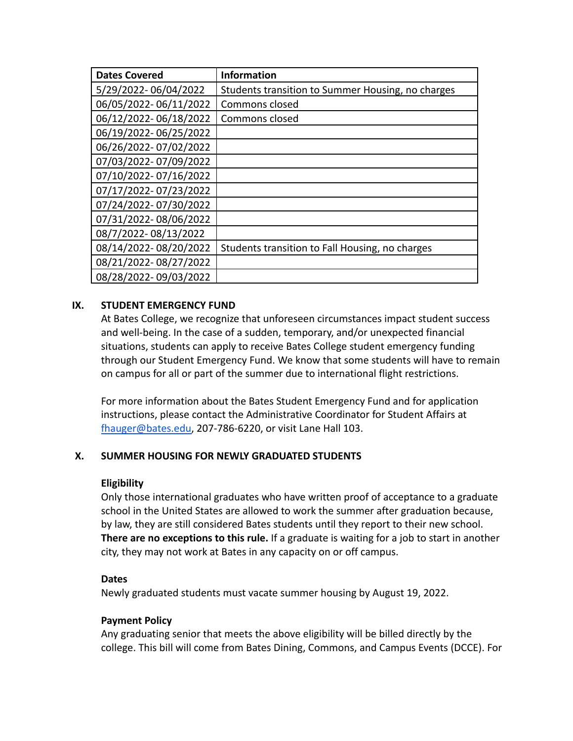| <b>Dates Covered</b>  | <b>Information</b>                                |
|-----------------------|---------------------------------------------------|
| 5/29/2022-06/04/2022  | Students transition to Summer Housing, no charges |
| 06/05/2022-06/11/2022 | Commons closed                                    |
| 06/12/2022-06/18/2022 | Commons closed                                    |
| 06/19/2022-06/25/2022 |                                                   |
| 06/26/2022-07/02/2022 |                                                   |
| 07/03/2022-07/09/2022 |                                                   |
| 07/10/2022-07/16/2022 |                                                   |
| 07/17/2022-07/23/2022 |                                                   |
| 07/24/2022-07/30/2022 |                                                   |
| 07/31/2022-08/06/2022 |                                                   |
| 08/7/2022-08/13/2022  |                                                   |
| 08/14/2022-08/20/2022 | Students transition to Fall Housing, no charges   |
| 08/21/2022-08/27/2022 |                                                   |
| 08/28/2022-09/03/2022 |                                                   |

## **IX. STUDENT EMERGENCY FUND**

At Bates College, we recognize that unforeseen circumstances impact student success and well-being. In the case of a sudden, temporary, and/or unexpected financial situations, students can apply to receive Bates College student emergency funding through our Student Emergency Fund. We know that some students will have to remain on campus for all or part of the summer due to international flight restrictions.

For more information about the Bates Student Emergency Fund and for application instructions, please contact the Administrative Coordinator for Student Affairs at [fhauger@bates.edu,](mailto:fhauger@bates.edu) 207-786-6220, or visit Lane Hall 103.

## **X. SUMMER HOUSING FOR NEWLY GRADUATED STUDENTS**

## **Eligibility**

Only those international graduates who have written proof of acceptance to a graduate school in the United States are allowed to work the summer after graduation because, by law, they are still considered Bates students until they report to their new school. **There are no exceptions to this rule.** If a graduate is waiting for a job to start in another city, they may not work at Bates in any capacity on or off campus.

#### **Dates**

Newly graduated students must vacate summer housing by August 19, 2022.

## **Payment Policy**

Any graduating senior that meets the above eligibility will be billed directly by the college. This bill will come from Bates Dining, Commons, and Campus Events (DCCE). For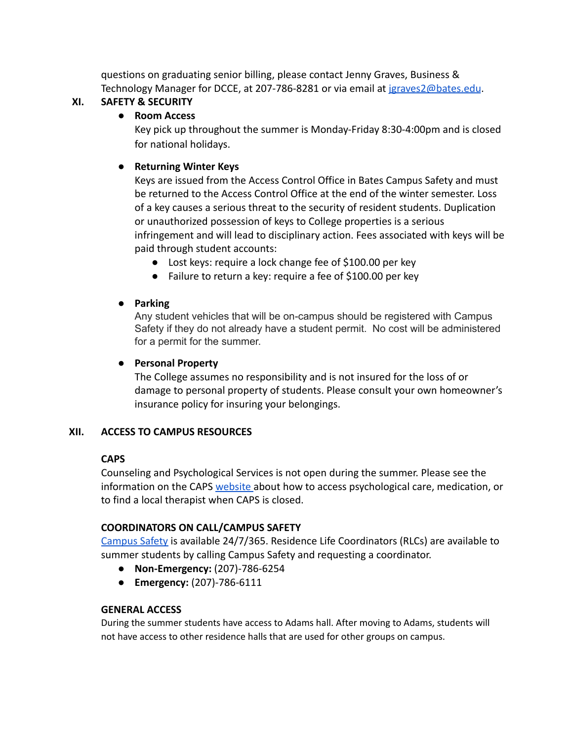questions on graduating senior billing, please contact Jenny Graves, Business & Technology Manager for DCCE, at 207-786-8281 or via email at [jgraves2@bates.edu](mailto:jgraves2@bates.edu).

# **XI. SAFETY & SECURITY**

# **● Room Access**

Key pick up throughout the summer is Monday-Friday 8:30-4:00pm and is closed for national holidays.

# ● **Returning Winter Keys**

Keys are issued from the Access Control Office in Bates Campus Safety and must be returned to the Access Control Office at the end of the winter semester. Loss of a key causes a serious threat to the security of resident students. Duplication or unauthorized possession of keys to College properties is a serious infringement and will lead to disciplinary action. Fees associated with keys will be paid through student accounts:

- Lost keys: require a lock change fee of \$100.00 per key
- Failure to return a key: require a fee of \$100.00 per key

# ● **Parking**

Any student vehicles that will be on-campus should be registered with Campus Safety if they do not already have a student permit. No cost will be administered for a permit for the summer.

# ● **Personal Property**

The College assumes no responsibility and is not insured for the loss of or damage to personal property of students. Please consult your own homeowner's insurance policy for insuring your belongings.

# **XII. ACCESS TO CAMPUS RESOURCES**

# **CAPS**

Counseling and Psychological Services is not open during the summer. Please see the information on the CAPS [website](https://www.bates.edu/counseling-psychological-services/) about how to access psychological care, medication, or to find a local therapist when CAPS is closed.

# **COORDINATORS ON CALL/CAMPUS SAFETY**

[Campus Safety](https://www.bates.edu/campus-safety/) is available 24/7/365. Residence Life Coordinators (RLCs) are available to summer students by calling Campus Safety and requesting a coordinator.

- **● Non-Emergency:** (207)-786-6254
- **● Emergency:** (207)-786-6111

# **GENERAL ACCESS**

During the summer students have access to Adams hall. After moving to Adams, students will not have access to other residence halls that are used for other groups on campus.